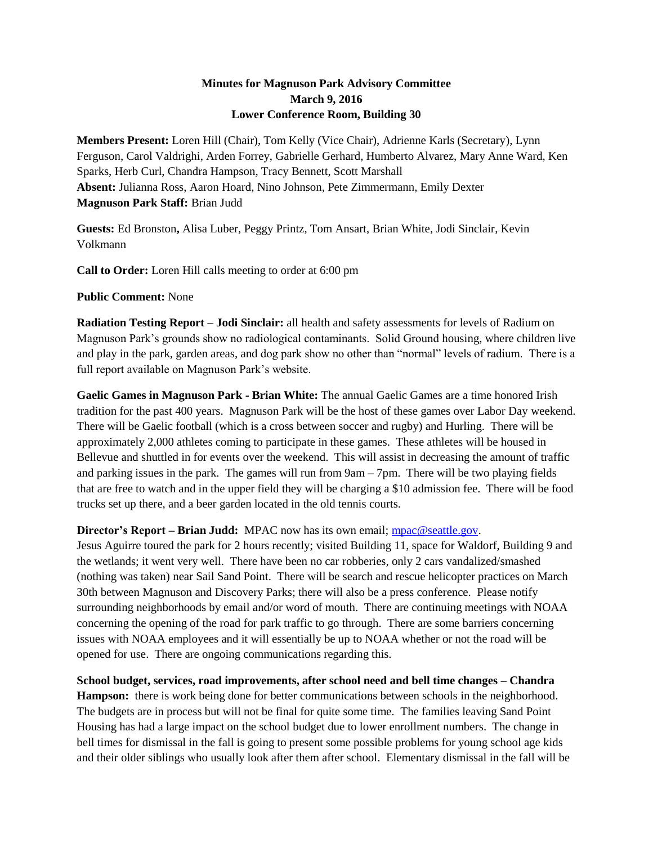## **Minutes for Magnuson Park Advisory Committee March 9, 2016 Lower Conference Room, Building 30**

**Members Present:** Loren Hill (Chair), Tom Kelly (Vice Chair), Adrienne Karls (Secretary), Lynn Ferguson, Carol Valdrighi, Arden Forrey, Gabrielle Gerhard, Humberto Alvarez, Mary Anne Ward, Ken Sparks, Herb Curl, Chandra Hampson, Tracy Bennett, Scott Marshall **Absent:** Julianna Ross, Aaron Hoard, Nino Johnson, Pete Zimmermann, Emily Dexter **Magnuson Park Staff:** Brian Judd

**Guests:** Ed Bronston**,** Alisa Luber, Peggy Printz, Tom Ansart, Brian White, Jodi Sinclair, Kevin Volkmann

**Call to Order:** Loren Hill calls meeting to order at 6:00 pm

**Public Comment:** None

**Radiation Testing Report – Jodi Sinclair:** all health and safety assessments for levels of Radium on Magnuson Park's grounds show no radiological contaminants. Solid Ground housing, where children live and play in the park, garden areas, and dog park show no other than "normal" levels of radium. There is a full report available on Magnuson Park's website.

**Gaelic Games in Magnuson Park - Brian White:** The annual Gaelic Games are a time honored Irish tradition for the past 400 years. Magnuson Park will be the host of these games over Labor Day weekend. There will be Gaelic football (which is a cross between soccer and rugby) and Hurling. There will be approximately 2,000 athletes coming to participate in these games. These athletes will be housed in Bellevue and shuttled in for events over the weekend. This will assist in decreasing the amount of traffic and parking issues in the park. The games will run from 9am – 7pm. There will be two playing fields that are free to watch and in the upper field they will be charging a \$10 admission fee. There will be food trucks set up there, and a beer garden located in the old tennis courts.

## **Director's Report – Brian Judd:** MPAC now has its own email; [mpac@seattle.gov.](mailto:mpac@seattle.gov)

Jesus Aguirre toured the park for 2 hours recently; visited Building 11, space for Waldorf, Building 9 and the wetlands; it went very well. There have been no car robberies, only 2 cars vandalized/smashed (nothing was taken) near Sail Sand Point. There will be search and rescue helicopter practices on March 30th between Magnuson and Discovery Parks; there will also be a press conference. Please notify surrounding neighborhoods by email and/or word of mouth. There are continuing meetings with NOAA concerning the opening of the road for park traffic to go through. There are some barriers concerning issues with NOAA employees and it will essentially be up to NOAA whether or not the road will be opened for use. There are ongoing communications regarding this.

**School budget, services, road improvements, after school need and bell time changes – Chandra** 

**Hampson:** there is work being done for better communications between schools in the neighborhood. The budgets are in process but will not be final for quite some time. The families leaving Sand Point Housing has had a large impact on the school budget due to lower enrollment numbers. The change in bell times for dismissal in the fall is going to present some possible problems for young school age kids and their older siblings who usually look after them after school. Elementary dismissal in the fall will be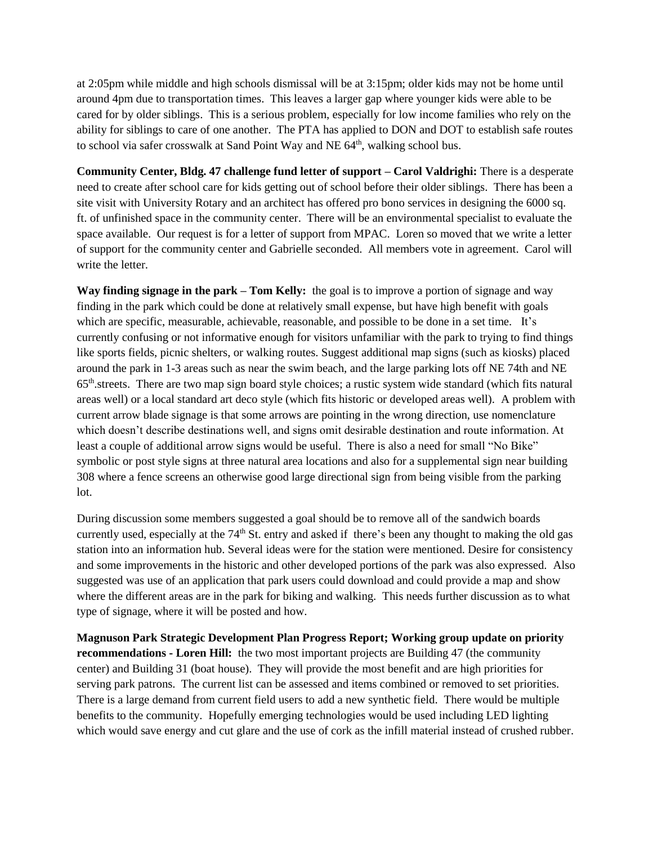at 2:05pm while middle and high schools dismissal will be at 3:15pm; older kids may not be home until around 4pm due to transportation times. This leaves a larger gap where younger kids were able to be cared for by older siblings. This is a serious problem, especially for low income families who rely on the ability for siblings to care of one another. The PTA has applied to DON and DOT to establish safe routes to school via safer crosswalk at Sand Point Way and NE 64<sup>th</sup>, walking school bus.

**Community Center, Bldg. 47 challenge fund letter of support – Carol Valdrighi:** There is a desperate need to create after school care for kids getting out of school before their older siblings. There has been a site visit with University Rotary and an architect has offered pro bono services in designing the 6000 sq. ft. of unfinished space in the community center. There will be an environmental specialist to evaluate the space available. Our request is for a letter of support from MPAC. Loren so moved that we write a letter of support for the community center and Gabrielle seconded. All members vote in agreement. Carol will write the letter.

**Way finding signage in the park – Tom Kelly:** the goal is to improve a portion of signage and way finding in the park which could be done at relatively small expense, but have high benefit with goals which are specific, measurable, achievable, reasonable, and possible to be done in a set time. It's currently confusing or not informative enough for visitors unfamiliar with the park to trying to find things like sports fields, picnic shelters, or walking routes. Suggest additional map signs (such as kiosks) placed around the park in 1-3 areas such as near the swim beach, and the large parking lots off NE 74th and NE 65th.streets. There are two map sign board style choices; a rustic system wide standard (which fits natural areas well) or a local standard art deco style (which fits historic or developed areas well). A problem with current arrow blade signage is that some arrows are pointing in the wrong direction, use nomenclature which doesn't describe destinations well, and signs omit desirable destination and route information. At least a couple of additional arrow signs would be useful. There is also a need for small "No Bike" symbolic or post style signs at three natural area locations and also for a supplemental sign near building 308 where a fence screens an otherwise good large directional sign from being visible from the parking lot.

During discussion some members suggested a goal should be to remove all of the sandwich boards currently used, especially at the 74<sup>th</sup> St. entry and asked if there's been any thought to making the old gas station into an information hub. Several ideas were for the station were mentioned. Desire for consistency and some improvements in the historic and other developed portions of the park was also expressed. Also suggested was use of an application that park users could download and could provide a map and show where the different areas are in the park for biking and walking. This needs further discussion as to what type of signage, where it will be posted and how.

**Magnuson Park Strategic Development Plan Progress Report; Working group update on priority recommendations - Loren Hill:** the two most important projects are Building 47 (the community center) and Building 31 (boat house). They will provide the most benefit and are high priorities for serving park patrons. The current list can be assessed and items combined or removed to set priorities. There is a large demand from current field users to add a new synthetic field. There would be multiple benefits to the community. Hopefully emerging technologies would be used including LED lighting which would save energy and cut glare and the use of cork as the infill material instead of crushed rubber.